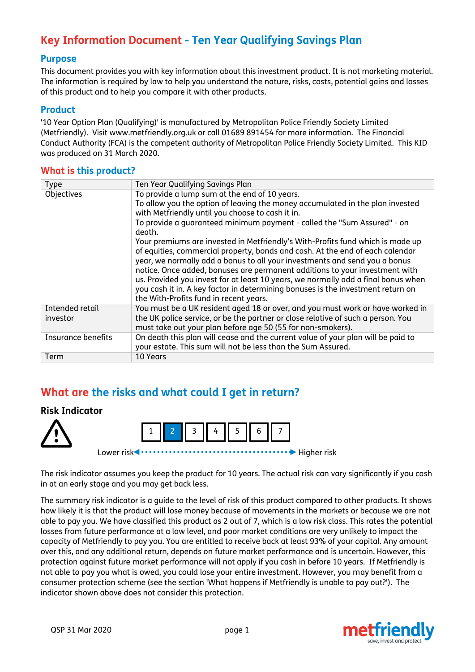# **Key Information Document - Ten Year Qualifying Savings Plan**

### **Purpose**

This document provides you with key information about this investment product. It is not marketing material. The information is required by law to help you understand the nature, risks, costs, potential gains and losses of this product and to help you compare it with other products.

#### **Product**

'10 Year Option Plan (Qualifying)' is manufactured by Metropolitan Police Friendly Society Limited (Metfriendly). Visit www.metfriendly.org.uk or call 01689 891454 for more information. The Financial Conduct Authority (FCA) is the competent authority of Metropolitan Police Friendly Society Limited. This KID was produced on 31 March 2020.

### **What is this product?**

| <b>Type</b>                 | Ten Year Qualifying Savings Plan                                                                                                                                                                                                                                                                                                                                                                                                                                                                                                               |  |  |
|-----------------------------|------------------------------------------------------------------------------------------------------------------------------------------------------------------------------------------------------------------------------------------------------------------------------------------------------------------------------------------------------------------------------------------------------------------------------------------------------------------------------------------------------------------------------------------------|--|--|
| Objectives                  | To provide a lump sum at the end of 10 years.                                                                                                                                                                                                                                                                                                                                                                                                                                                                                                  |  |  |
|                             | To allow you the option of leaving the money accumulated in the plan invested                                                                                                                                                                                                                                                                                                                                                                                                                                                                  |  |  |
|                             | with Metfriendly until you choose to cash it in.                                                                                                                                                                                                                                                                                                                                                                                                                                                                                               |  |  |
|                             | To provide a quaranteed minimum payment - called the "Sum Assured" - on<br>death.                                                                                                                                                                                                                                                                                                                                                                                                                                                              |  |  |
|                             | Your premiums are invested in Metfriendly's With-Profits fund which is made up<br>of equities, commercial property, bonds and cash. At the end of each calendar<br>year, we normally add a bonus to all your investments and send you a bonus<br>notice. Once added, bonuses are permanent additions to your investment with<br>us. Provided you invest for at least 10 years, we normally add a final bonus when<br>you cash it in. A key factor in determining bonuses is the investment return on<br>the With-Profits fund in recent years. |  |  |
| Intended retail<br>investor | You must be a UK resident aged 18 or over, and you must work or have worked in<br>the UK police service, or be the partner or close relative of such a person. You<br>must take out your plan before age 50 (55 for non-smokers).                                                                                                                                                                                                                                                                                                              |  |  |
| Insurance benefits          | On death this plan will cease and the current value of your plan will be paid to<br>your estate. This sum will not be less than the Sum Assured.                                                                                                                                                                                                                                                                                                                                                                                               |  |  |
| Term                        | 10 Years                                                                                                                                                                                                                                                                                                                                                                                                                                                                                                                                       |  |  |

# **What are the risks and what could I get in return?**

### **Risk Indicator**





The risk indicator assumes you keep the product for 10 years. The actual risk can vary significantly if you cash in at an early stage and you may get back less.

The summary risk indicator is a guide to the level of risk of this product compared to other products. It shows how likely it is that the product will lose money because of movements in the markets or because we are not able to pay you. We have classified this product as 2 out of 7, which is a low risk class. This rates the potential losses from future performance at a low level, and poor market conditions are very unlikely to impact the capacity of Metfriendly to pay you. You are entitled to receive back at least 93% of your capital. Any amount over this, and any additional return, depends on future market performance and is uncertain. However, this protection against future market performance will not apply if you cash in before 10 years. If Metfriendly is not able to pay you what is owed, you could lose your entire investment. However, you may benefit from a consumer protection scheme (see the section 'What happens if Metfriendly is unable to pay out?'). The indicator shown above does not consider this protection.

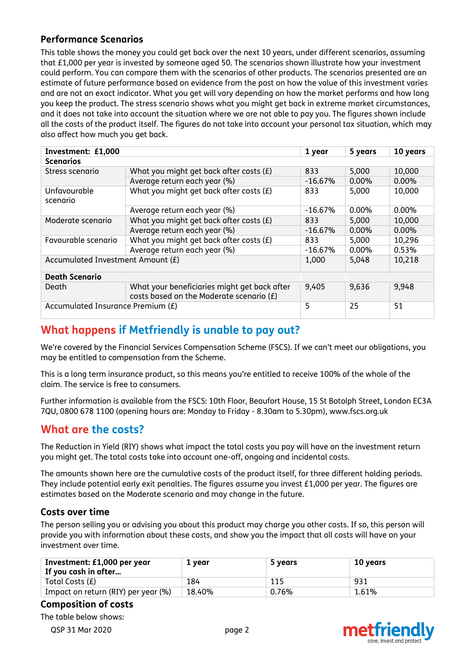### **Performance Scenarios**

This table shows the money you could get back over the next 10 years, under different scenarios, assuming that £1,000 per year is invested by someone aged 50. The scenarios shown illustrate how your investment could perform. You can compare them with the scenarios of other products. The scenarios presented are an estimate of future performance based on evidence from the past on how the value of this investment varies and are not an exact indicator. What you get will vary depending on how the market performs and how long you keep the product. The stress scenario shows what you might get back in extreme market circumstances, and it does not take into account the situation where we are not able to pay you. The figures shown include all the costs of the product itself. The figures do not take into account your personal tax situation, which may also affect how much you get back.

| Investment: £1,000                |                                                                                          |           | 5 years  | 10 years |  |  |  |
|-----------------------------------|------------------------------------------------------------------------------------------|-----------|----------|----------|--|--|--|
| <b>Scenarios</b>                  |                                                                                          |           |          |          |  |  |  |
| Stress scenario                   | What you might get back after costs $(E)$                                                | 833       | 5,000    | 10,000   |  |  |  |
|                                   | Average return each year (%)                                                             | $-16.67%$ | $0.00\%$ | $0.00\%$ |  |  |  |
| Unfavourable<br>scenario          | What you might get back after costs (£)                                                  | 833       | 5,000    | 10,000   |  |  |  |
|                                   | Average return each year (%)                                                             | $-16.67%$ | 0.00%    | $0.00\%$ |  |  |  |
| Moderate scenario                 | What you might get back after costs $(E)$                                                | 833       | 5,000    | 10,000   |  |  |  |
|                                   | Average return each year (%)                                                             | $-16.67%$ | 0.00%    | $0.00\%$ |  |  |  |
| Favourable scenario               | What you might get back after costs $(E)$                                                | 833       | 5,000    | 10,296   |  |  |  |
|                                   | Average return each year (%)                                                             | $-16.67%$ | 0.00%    | 0.53%    |  |  |  |
| Accumulated Investment Amount (£) | 1,000                                                                                    | 5,048     | 10,218   |          |  |  |  |
| <b>Death Scenario</b>             |                                                                                          |           |          |          |  |  |  |
| Death                             | What your beneficiaries might get back after<br>costs based on the Moderate scenario (£) | 9,405     | 9,636    | 9,948    |  |  |  |
| Accumulated Insurance Premium (£) | 5                                                                                        | 25        | 51       |          |  |  |  |

# **What happens if Metfriendly is unable to pay out?**

We're covered by the Financial Services Compensation Scheme (FSCS). If we can't meet our obligations, you may be entitled to compensation from the Scheme.

This is a long term insurance product, so this means you're entitled to receive 100% of the whole of the claim. The service is free to consumers.

Further information is available from the FSCS: 10th Floor, Beaufort House, 15 St Botolph Street, London EC3A 7QU, 0800 678 1100 (opening hours are: Monday to Friday - 8.30am to 5.30pm), www.fscs.org.uk

### **What are the costs?**

The Reduction in Yield (RIY) shows what impact the total costs you pay will have on the investment return you might get. The total costs take into account one-off, ongoing and incidental costs.

The amounts shown here are the cumulative costs of the product itself, for three different holding periods. They include potential early exit penalties. The figures assume you invest £1,000 per year. The figures are estimates based on the Moderate scenario and may change in the future.

### **Costs over time**

The person selling you or advising you about this product may charge you other costs. If so, this person will provide you with information about these costs, and show you the impact that all costs will have on your investment over time.

| Investment: £1,000 per year<br>If you cash in after | 1 year | 5 years | 10 years |
|-----------------------------------------------------|--------|---------|----------|
| Total Costs (£)                                     | 184    | 115     | 931      |
| Impact on return (RIY) per year (%)                 | 18.40% | 0.76%   | 1.61%    |

### **Composition of costs**

The table below shows:

QSP 31 Mar 2020 page 2